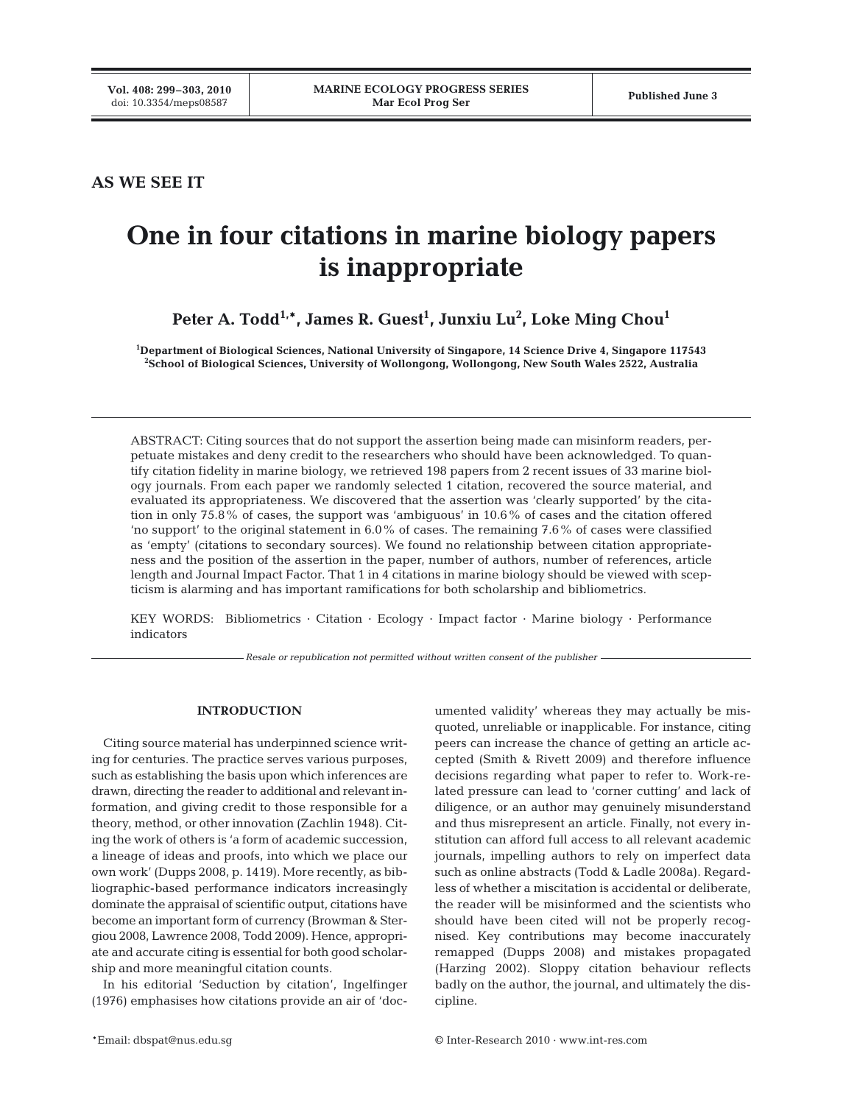**AS WE SEE IT**

# **One in four citations in marine biology papers is inappropriate**

Peter A. Todd<sup>1,</sup>\*, James R. Guest<sup>1</sup>, Junxiu Lu<sup>2</sup>, Loke Ming Chou<sup>1</sup>

**1 Department of Biological Sciences, National University of Singapore, 14 Science Drive 4, Singapore 117543 2 School of Biological Sciences, University of Wollongong, Wollongong, New South Wales 2522, Australia**

ABSTRACT: Citing sources that do not support the assertion being made can misinform readers, perpetuate mistakes and deny credit to the researchers who should have been acknowledged. To quantify citation fidelity in marine biology, we retrieved 198 papers from 2 recent issues of 33 marine biology journals. From each paper we randomly selected 1 citation, recovered the source material, and evaluated its appropriateness. We discovered that the assertion was 'clearly supported' by the citation in only 75.8% of cases, the support was 'ambiguous' in 10.6% of cases and the citation offered 'no support' to the original statement in 6.0% of cases. The remaining 7.6% of cases were classified as 'empty' (citations to secondary sources). We found no relationship between citation appropriateness and the position of the assertion in the paper, number of authors, number of references, article length and Journal Impact Factor. That 1 in 4 citations in marine biology should be viewed with scepticism is alarming and has important ramifications for both scholarship and bibliometrics.

KEY WORDS: Bibliometrics · Citation · Ecology · Impact factor · Marine biology · Performance indicators

*Resale or republication not permitted without written consent of the publisher*

## **INTRODUCTION**

Citing source material has underpinned science writing for centuries. The practice serves various purposes, such as establishing the basis upon which inferences are drawn, directing the reader to additional and relevant information, and giving credit to those responsible for a theory, method, or other innovation (Zachlin 1948). Citing the work of others is 'a form of academic succession, a lineage of ideas and proofs, into which we place our own work' (Dupps 2008, p. 1419). More recently, as bibliographic-based performance indicators increasingly dominate the appraisal of scientific output, citations have become an important form of currency (Browman & Stergiou 2008, Lawrence 2008, Todd 2009). Hence, appropriate and accurate citing is essential for both good scholarship and more meaningful citation counts.

In his editorial 'Seduction by citation', Ingelfinger (1976) emphasises how citations provide an air of 'documented validity' whereas they may actually be misquoted, unreliable or inapplicable. For instance, citing peers can increase the chance of getting an article accepted (Smith & Rivett 2009) and therefore influence decisions regarding what paper to refer to. Work-related pressure can lead to 'corner cutting' and lack of diligence, or an author may genuinely misunderstand and thus misrepresent an article. Finally, not every institution can afford full access to all relevant academic journals, impelling authors to rely on imperfect data such as online abstracts (Todd & Ladle 2008a). Regardless of whether a miscitation is accidental or deliberate, the reader will be misinformed and the scientists who should have been cited will not be properly recognised. Key contributions may become inaccurately remapped (Dupps 2008) and mistakes propagated (Harzing 2002). Sloppy citation behaviour reflects badly on the author, the journal, and ultimately the discipline.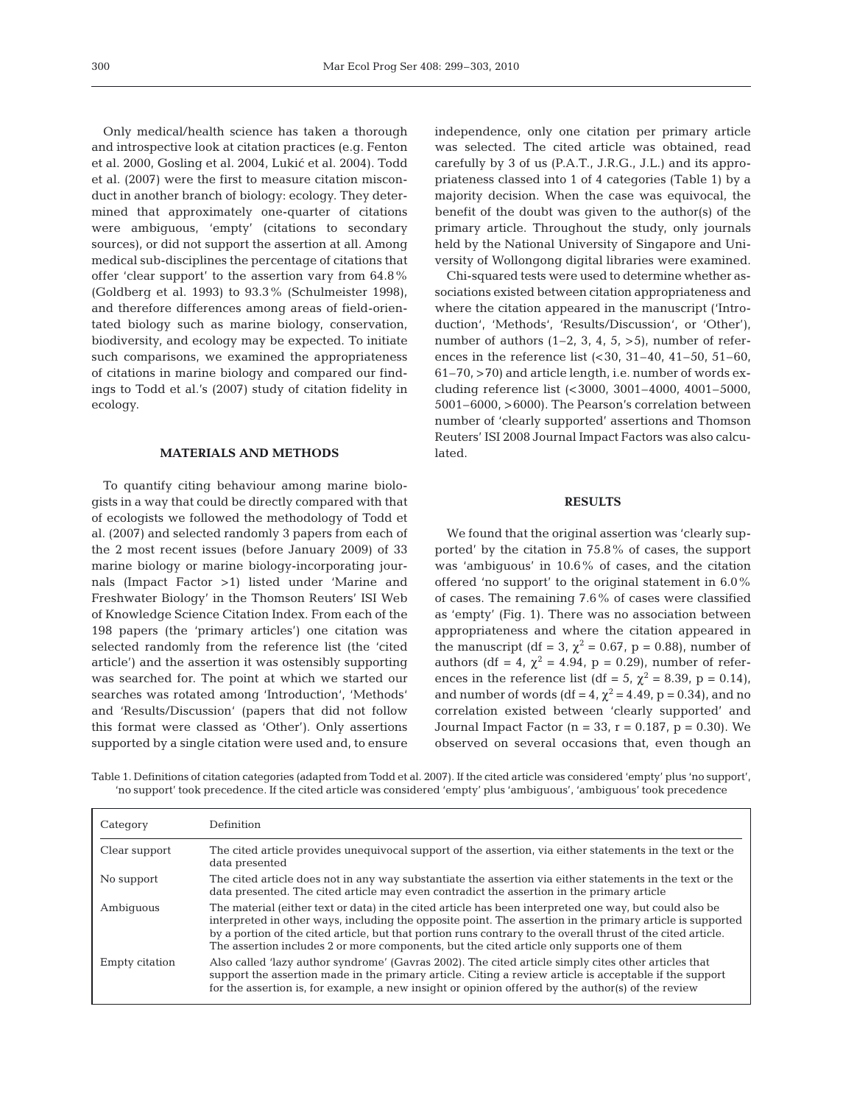Only medical/health science has taken a thorough and introspective look at citation practices (e.g. Fenton et al. 2000, Gosling et al. 2004, Lukić et al. 2004). Todd et al. (2007) were the first to measure citation misconduct in another branch of biology: ecology. They determined that approximately one-quarter of citations were ambiguous, 'empty' (citations to secondary sources), or did not support the assertion at all. Among medical sub-disciplines the percentage of citations that offer 'clear support' to the assertion vary from 64.8% (Goldberg et al. 1993) to 93.3% (Schulmeister 1998), and therefore differences among areas of field-orientated biology such as marine biology, conservation, biodiversity, and ecology may be expected. To initiate such comparisons, we examined the appropriateness of citations in marine biology and compared our findings to Todd et al.'s (2007) study of citation fidelity in ecology.

#### **MATERIALS AND METHODS**

To quantify citing behaviour among marine biologists in a way that could be directly compared with that of ecologists we followed the methodology of Todd et al. (2007) and selected randomly 3 papers from each of the 2 most recent issues (before January 2009) of 33 marine biology or marine biology-incorporating journals (Impact Factor >1) listed under 'Marine and Freshwater Biology' in the Thomson Reuters' ISI Web of Knowledge Science Citation Index. From each of the 198 papers (the 'primary articles') one citation was selected randomly from the reference list (the 'cited article') and the assertion it was ostensibly supporting was searched for. The point at which we started our searches was rotated among 'Introduction', 'Methods' and 'Results/Discussion' (papers that did not follow this format were classed as 'Other'). Only assertions supported by a single citation were used and, to ensure

independence, only one citation per primary article was selected. The cited article was obtained, read carefully by 3 of us (P.A.T., J.R.G., J.L.) and its appropriateness classed into 1 of 4 categories (Table 1) by a majority decision. When the case was equivocal, the benefit of the doubt was given to the author(s) of the primary article. Throughout the study, only journals held by the National University of Singapore and University of Wollongong digital libraries were examined.

Chi-squared tests were used to determine whether associations existed between citation appropriateness and where the citation appeared in the manuscript ('Introduction', 'Methods', 'Results/Discussion', or 'Other'), number of authors  $(1-2, 3, 4, 5, >5)$ , number of references in the reference list (<30, 31–40, 41–50, 51–60, 61–70, >70) and article length, i.e. number of words excluding reference list (<3000, 3001–4000, 4001–5000, 5001–6000, >6000). The Pearson's correlation between number of 'clearly supported' assertions and Thomson Reuters' ISI 2008 Journal Impact Factors was also calculated.

#### **RESULTS**

We found that the original assertion was 'clearly supported' by the citation in 75.8% of cases, the support was 'ambiguous' in 10.6% of cases, and the citation offered 'no support' to the original statement in 6.0% of cases. The remaining 7.6% of cases were classified as 'empty' (Fig. 1). There was no association between appropriateness and where the citation appeared in the manuscript (df = 3,  $\chi^2$  = 0.67, p = 0.88), number of authors (df = 4,  $\chi^2$  = 4.94, p = 0.29), number of references in the reference list (df = 5,  $\chi^2$  = 8.39, p = 0.14), and number of words (df = 4,  $\chi^2$  = 4.49, p = 0.34), and no correlation existed between 'clearly supported' and Journal Impact Factor ( $n = 33$ ,  $r = 0.187$ ,  $p = 0.30$ ). We observed on several occasions that, even though an

Table 1. Definitions of citation categories (adapted from Todd et al. 2007). If the cited article was considered 'empty' plus 'no support', 'no support' took precedence. If the cited article was considered 'empty' plus 'ambiguous', 'ambiguous' took precedence

| Category       | Definition                                                                                                                                                                                                                                                                                                                                                                                                                             |  |
|----------------|----------------------------------------------------------------------------------------------------------------------------------------------------------------------------------------------------------------------------------------------------------------------------------------------------------------------------------------------------------------------------------------------------------------------------------------|--|
| Clear support  | The cited article provides unequivocal support of the assertion, via either statements in the text or the<br>data presented                                                                                                                                                                                                                                                                                                            |  |
| No support     | The cited article does not in any way substantiate the assertion via either statements in the text or the<br>data presented. The cited article may even contradict the assertion in the primary article                                                                                                                                                                                                                                |  |
| Ambiguous      | The material (either text or data) in the cited article has been interpreted one way, but could also be<br>interpreted in other ways, including the opposite point. The assertion in the primary article is supported<br>by a portion of the cited article, but that portion runs contrary to the overall thrust of the cited article.<br>The assertion includes 2 or more components, but the cited article only supports one of them |  |
| Empty citation | Also called 'lazy author syndrome' (Gavras 2002). The cited article simply cites other articles that<br>support the assertion made in the primary article. Citing a review article is acceptable if the support<br>for the assertion is, for example, a new insight or opinion offered by the author(s) of the review                                                                                                                  |  |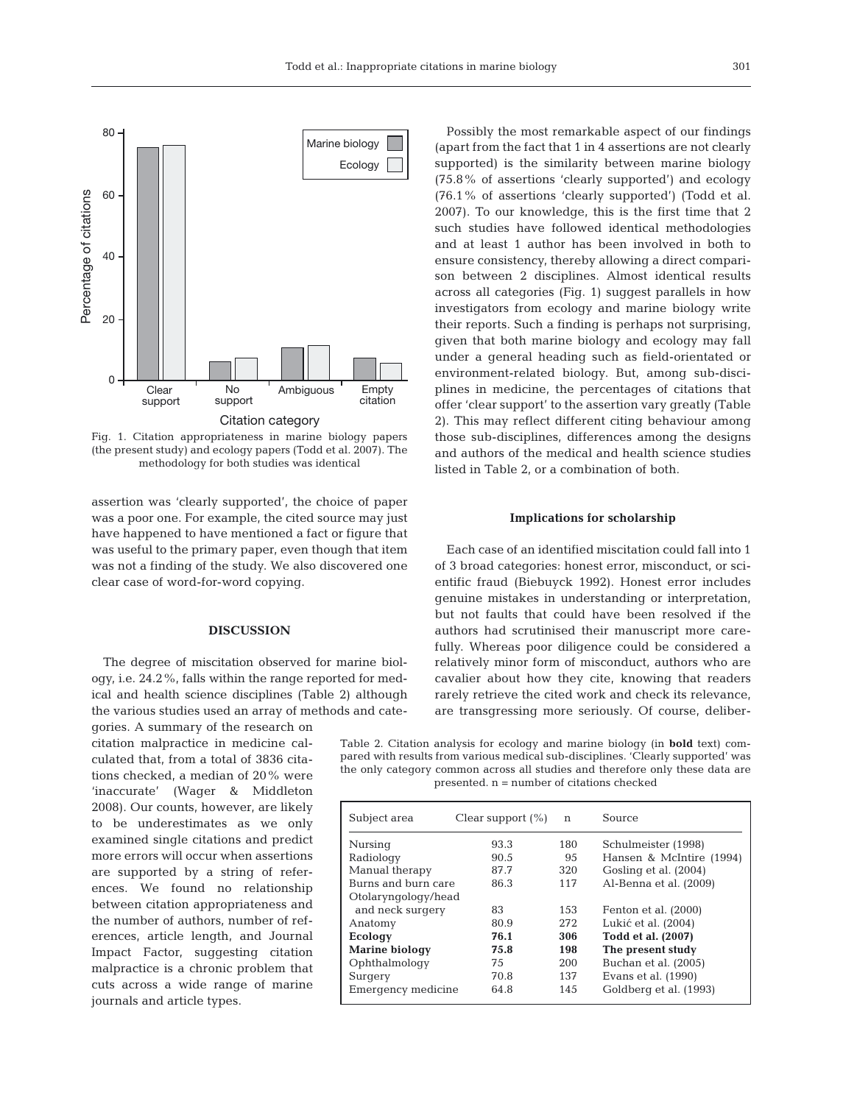

Fig. 1. Citation appropriateness in marine biology papers (the present study) and ecology papers (Todd et al. 2007). The methodology for both studies was identical

assertion was 'clearly supported', the choice of paper was a poor one. For example, the cited source may just have happened to have mentioned a fact or figure that was useful to the primary paper, even though that item was not a finding of the study. We also discovered one clear case of word-for-word copying.

#### **DISCUSSION**

The degree of miscitation observed for marine biology, i.e. 24.2%, falls within the range reported for medical and health science disciplines (Table 2) although the various studies used an array of methods and categories. A summary of the research on

citation malpractice in medicine calculated that, from a total of 3836 citations checked, a median of 20% were 'inaccurate' (Wager & Middleton 2008). Our counts, however, are likely to be underestimates as we only examined single citations and predict more errors will occur when assertions are supported by a string of references. We found no relationship between citation appropriateness and the number of authors, number of references, article length, and Journal Impact Factor, suggesting citation malpractice is a chronic problem that cuts across a wide range of marine journals and article types.

Possibly the most remarkable aspect of our findings (apart from the fact that 1 in 4 assertions are not clearly supported) is the similarity between marine biology (75.8% of assertions 'clearly supported') and ecology (76.1% of assertions 'clearly supported') (Todd et al. 2007). To our knowledge, this is the first time that 2 such studies have followed identical methodologies and at least 1 author has been involved in both to ensure consistency, thereby allowing a direct comparison between 2 disciplines. Almost identical results across all categories (Fig. 1) suggest parallels in how investigators from ecology and marine biology write their reports. Such a finding is perhaps not surprising, given that both marine biology and ecology may fall under a general heading such as field-orientated or environment-related biology. But, among sub-disciplines in medicine, the percentages of citations that offer 'clear support' to the assertion vary greatly (Table 2). This may reflect different citing behaviour among those sub-disciplines, differences among the designs and authors of the medical and health science studies listed in Table 2, or a combination of both.

#### **Implications for scholarship**

Each case of an identified miscitation could fall into 1 of 3 broad categories: honest error, misconduct, or scientific fraud (Biebuyck 1992). Honest error includes genuine mistakes in understanding or interpretation, but not faults that could have been resolved if the authors had scrutinised their manuscript more carefully. Whereas poor diligence could be considered a relatively minor form of misconduct, authors who are cavalier about how they cite, knowing that readers rarely retrieve the cited work and check its relevance, are transgressing more seriously. Of course, deliber-

Table 2. Citation analysis for ecology and marine biology (in **bold** text) compared with results from various medical sub-disciplines. 'Clearly supported' was the only category common across all studies and therefore only these data are presented. n = number of citations checked

| Subject area          | Clear support $(\%)$ | n   | Source                   |
|-----------------------|----------------------|-----|--------------------------|
| Nursing               | 93.3                 | 180 | Schulmeister (1998)      |
| Radiology             | 90.5                 | 95  | Hansen & McIntire (1994) |
| Manual therapy        | 87.7                 | 320 | Gosling et al. (2004)    |
| Burns and burn care   | 86.3                 | 117 | Al-Benna et al. (2009)   |
| Otolaryngology/head   |                      |     |                          |
| and neck surgery      | 83                   | 153 | Fenton et al. (2000)     |
| Anatomy               | 80.9                 | 272 | Lukić et al. (2004)      |
| <b>Ecology</b>        | 76.1                 | 306 | Todd et al. (2007)       |
| <b>Marine biology</b> | 75.8                 | 198 | The present study        |
| Ophthalmology         | 75                   | 200 | Buchan et al. (2005)     |
| Surgery               | 70.8                 | 137 | Evans et al. (1990)      |
| Emergency medicine    | 64.8                 | 145 | Goldberg et al. (1993)   |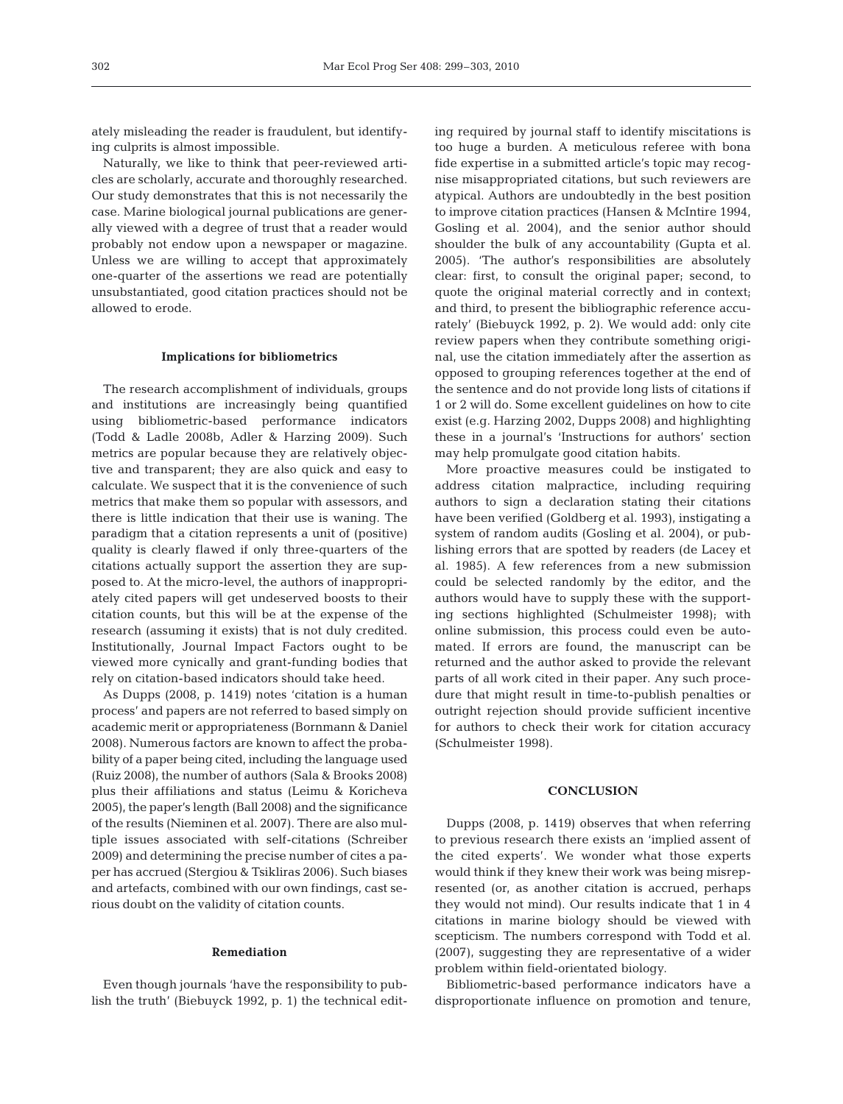ately misleading the reader is fraudulent, but identifying culprits is almost impossible.

Naturally, we like to think that peer-reviewed articles are scholarly, accurate and thoroughly researched. Our study demonstrates that this is not necessarily the case. Marine biological journal publications are generally viewed with a degree of trust that a reader would probably not endow upon a newspaper or magazine. Unless we are willing to accept that approximately one-quarter of the assertions we read are potentially unsubstantiated, good citation practices should not be allowed to erode.

#### **Implications for bibliometrics**

The research accomplishment of individuals, groups and institutions are increasingly being quantified using bibliometric-based performance indicators (Todd & Ladle 2008b, Adler & Harzing 2009). Such metrics are popular because they are relatively objective and transparent; they are also quick and easy to calculate. We suspect that it is the convenience of such metrics that make them so popular with assessors, and there is little indication that their use is waning. The paradigm that a citation represents a unit of (positive) quality is clearly flawed if only three-quarters of the citations actually support the assertion they are supposed to. At the micro-level, the authors of inappropriately cited papers will get undeserved boosts to their citation counts, but this will be at the expense of the research (assuming it exists) that is not duly credited. Institutionally, Journal Impact Factors ought to be viewed more cynically and grant-funding bodies that rely on citation-based indicators should take heed.

As Dupps (2008, p. 1419) notes 'citation is a human process' and papers are not referred to based simply on academic merit or appropriateness (Bornmann & Daniel 2008). Numerous factors are known to affect the probability of a paper being cited, including the language used (Ruiz 2008), the number of authors (Sala & Brooks 2008) plus their affiliations and status (Leimu & Koricheva 2005), the paper's length (Ball 2008) and the significance of the results (Nieminen et al. 2007). There are also multiple issues associated with self-citations (Schreiber 2009) and determining the precise number of cites a paper has accrued (Stergiou & Tsikliras 2006). Such biases and artefacts, combined with our own findings, cast serious doubt on the validity of citation counts.

## **Remediation**

Even though journals 'have the responsibility to publish the truth' (Biebuyck 1992, p. 1) the technical editing required by journal staff to identify miscitations is too huge a burden. A meticulous referee with bona fide expertise in a submitted article's topic may recognise misappropriated citations, but such reviewers are atypical. Authors are undoubtedly in the best position to improve citation practices (Hansen & McIntire 1994, Gosling et al. 2004), and the senior author should shoulder the bulk of any accountability (Gupta et al. 2005). 'The author's responsibilities are absolutely clear: first, to consult the original paper; second, to quote the original material correctly and in context; and third, to present the bibliographic reference accurately' (Biebuyck 1992, p. 2). We would add: only cite review papers when they contribute something original, use the citation immediately after the assertion as opposed to grouping references together at the end of the sentence and do not provide long lists of citations if 1 or 2 will do. Some excellent guidelines on how to cite exist (e.g. Harzing 2002, Dupps 2008) and highlighting these in a journal's 'Instructions for authors' section may help promulgate good citation habits.

More proactive measures could be instigated to address citation malpractice, including requiring authors to sign a declaration stating their citations have been verified (Goldberg et al. 1993), instigating a system of random audits (Gosling et al. 2004), or publishing errors that are spotted by readers (de Lacey et al. 1985). A few references from a new submission could be selected randomly by the editor, and the authors would have to supply these with the supporting sections highlighted (Schulmeister 1998); with online submission, this process could even be automated. If errors are found, the manuscript can be returned and the author asked to provide the relevant parts of all work cited in their paper. Any such procedure that might result in time-to-publish penalties or outright rejection should provide sufficient incentive for authors to check their work for citation accuracy (Schulmeister 1998).

## **CONCLUSION**

Dupps (2008, p. 1419) observes that when referring to previous research there exists an 'implied assent of the cited experts'. We wonder what those experts would think if they knew their work was being misrepresented (or, as another citation is accrued, perhaps they would not mind). Our results indicate that 1 in 4 citations in marine biology should be viewed with scepticism. The numbers correspond with Todd et al. (2007), suggesting they are representative of a wider problem within field-orientated biology.

Bibliometric-based performance indicators have a disproportionate influence on promotion and tenure,